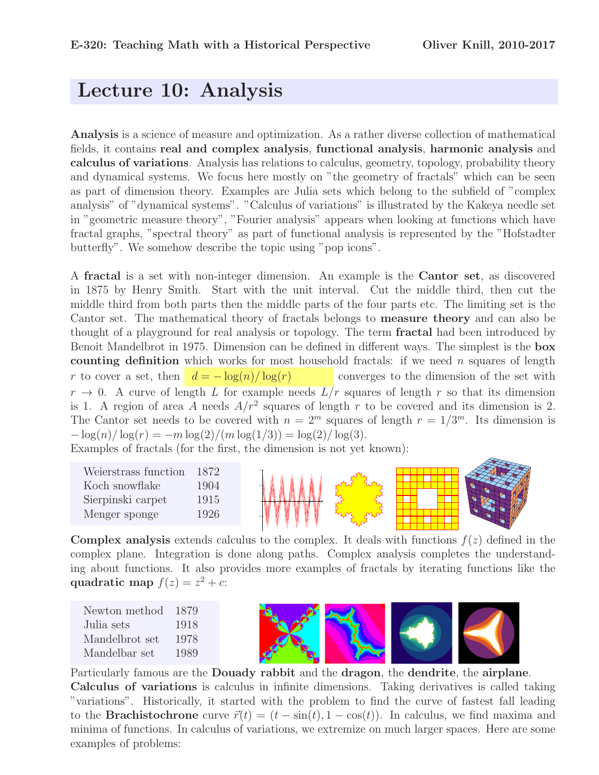# Lecture 10: Analysis

Analysis is a science of measure and optimization. As a rather diverse collection of mathematical fields, it contains real and complex analysis, functional analysis, harmonic analysis and calculus of variations. Analysis has relations to calculus, geometry, topology, probability theory and dynamical systems. We focus here mostly on "the geometry of fractals" which can be seen as part of dimension theory. Examples are Julia sets which belong to the subfield of "complex analysis" of "dynamical systems". "Calculus of variations" is illustrated by the Kakeya needle set in "geometric measure theory", "Fourier analysis" appears when looking at functions which have fractal graphs, "spectral theory" as part of functional analysis is represented by the "Hofstadter butterfly". We somehow describe the topic using "pop icons".

A fractal is a set with non-integer dimension. An example is the Cantor set, as discovered in 1875 by Henry Smith. Start with the unit interval. Cut the middle third, then cut the middle third from both parts then the middle parts of the four parts etc. The limiting set is the Cantor set. The mathematical theory of fractals belongs to measure theory and can also be thought of a playground for real analysis or topology. The term fractal had been introduced by Benoit Mandelbrot in 1975. Dimension can be defined in different ways. The simplest is the box counting definition which works for most household fractals: if we need  $n$  squares of length r to cover a set, then  $d = -\log(n)/\log(r)$  converges to the dimension of the set with  $r \to 0$ . A curve of length L for example needs  $L/r$  squares of length r so that its dimension is 1. A region of area A needs  $A/r^2$  squares of length r to be covered and its dimension is 2. The Cantor set needs to be covered with  $n = 2^m$  squares of length  $r = 1/3^m$ . Its dimension is  $-\log(n)/\log(r) = -m\log(2)/(m\log(1/3)) = \log(2)/\log(3).$ 

Examples of fractals (for the first, the dimension is not yet known):

| Weierstrass function | 1872 |
|----------------------|------|
| Koch snowflake       | 1904 |
| Sierpinski carpet    | 1915 |
| Menger sponge        | 1926 |



**Complex analysis** extends calculus to the complex. It deals with functions  $f(z)$  defined in the complex plane. Integration is done along paths. Complex analysis completes the understanding about functions. It also provides more examples of fractals by iterating functions like the quadratic map  $f(z) = z^2 + c$ :

| Newton method  | 1879 |
|----------------|------|
| Julia sets     | 1918 |
| Mandelbrot set | 1978 |
| Mandelbar set  | 1989 |



Particularly famous are the Douady rabbit and the dragon, the dendrite, the airplane. Calculus of variations is calculus in infinite dimensions. Taking derivatives is called taking "variations". Historically, it started with the problem to find the curve of fastest fall leading to the **Brachistochrone** curve  $\vec{r}(t) = (t - \sin(t), 1 - \cos(t))$ . In calculus, we find maxima and minima of functions. In calculus of variations, we extremize on much larger spaces. Here are some examples of problems: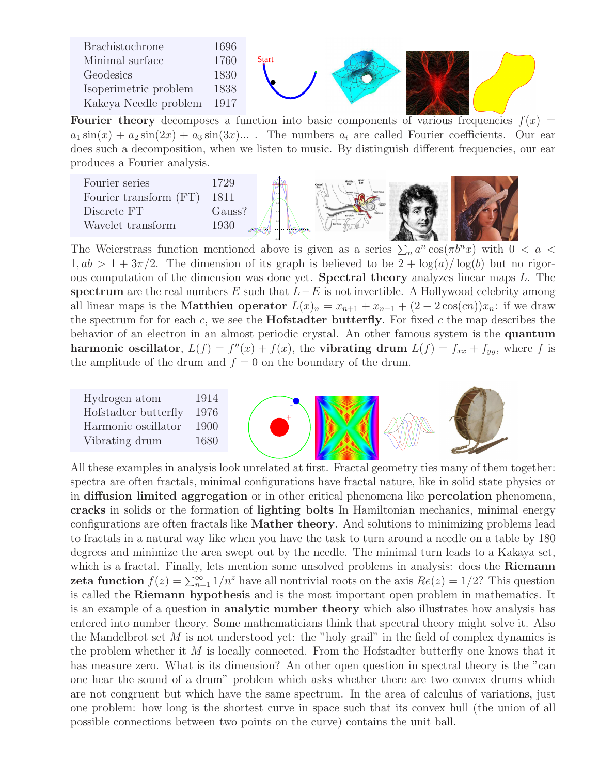| Brachistochrone       | 1696   |              |  |  |
|-----------------------|--------|--------------|--|--|
| Minimal surface       | 1760   | <b>Start</b> |  |  |
| Geodesics             | 1830   |              |  |  |
| Isoperimetric problem | 1838   |              |  |  |
| Kakeya Needle problem | - 1917 |              |  |  |

**Fourier theory** decomposes a function into basic components of various frequencies  $f(x)$  =  $a_1 \sin(x) + a_2 \sin(2x) + a_3 \sin(3x) \dots$ . The numbers  $a_i$  are called Fourier coefficients. Our ear does such a decomposition, when we listen to music. By distinguish different frequencies, our ear produces a Fourier analysis.



The Weierstrass function mentioned above is given as a series  $\sum_n a^n \cos(\pi b^n x)$  with  $0 < a <$  $1, ab > 1 + 3\pi/2$ . The dimension of its graph is believed to be  $2 + log(a)/log(b)$  but no rigorous computation of the dimension was done yet. Spectral theory analyzes linear maps L. The spectrum are the real numbers E such that  $L-E$  is not invertible. A Hollywood celebrity among all linear maps is the **Matthieu operator**  $L(x)_n = x_{n+1} + x_{n-1} + (2 - 2\cos(cn))x_n$ : if we draw the spectrum for for each  $c$ , we see the **Hofstadter butterfly**. For fixed  $c$  the map describes the behavior of an electron in an almost periodic crystal. An other famous system is the quantum harmonic oscillator,  $L(f) = f''(x) + f(x)$ , the vibrating drum  $L(f) = f_{xx} + f_{yy}$ , where f is the amplitude of the drum and  $f = 0$  on the boundary of the drum.



All these examples in analysis look unrelated at first. Fractal geometry ties many of them together: spectra are often fractals, minimal configurations have fractal nature, like in solid state physics or in diffusion limited aggregation or in other critical phenomena like percolation phenomena, cracks in solids or the formation of lighting bolts In Hamiltonian mechanics, minimal energy configurations are often fractals like Mather theory. And solutions to minimizing problems lead to fractals in a natural way like when you have the task to turn around a needle on a table by 180 degrees and minimize the area swept out by the needle. The minimal turn leads to a Kakaya set, which is a fractal. Finally, lets mention some unsolved problems in analysis: does the Riemann **zeta function**  $f(z) = \sum_{n=1}^{\infty} 1/n^z$  have all nontrivial roots on the axis  $Re(z) = 1/2$ ? This question is called the Riemann hypothesis and is the most important open problem in mathematics. It is an example of a question in analytic number theory which also illustrates how analysis has entered into number theory. Some mathematicians think that spectral theory might solve it. Also the Mandelbrot set  $M$  is not understood yet: the "holy grail" in the field of complex dynamics is the problem whether it  $M$  is locally connected. From the Hofstadter butterfly one knows that it has measure zero. What is its dimension? An other open question in spectral theory is the "can one hear the sound of a drum" problem which asks whether there are two convex drums which are not congruent but which have the same spectrum. In the area of calculus of variations, just one problem: how long is the shortest curve in space such that its convex hull (the union of all possible connections between two points on the curve) contains the unit ball.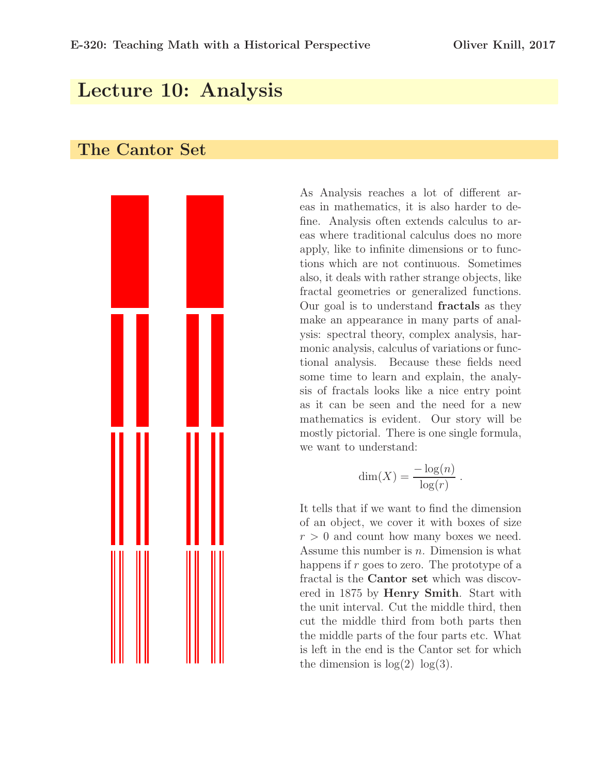## Lecture 10: Analysis

#### The Cantor Set



As Analysis reaches a lot of different areas in mathematics, it is also harder to define. Analysis often extends calculus to areas where traditional calculus does no more apply, like to infinite dimensions or to functions which are not continuous. Sometimes also, it deals with rather strange objects, like fractal geometries or generalized functions. Our goal is to understand fractals as they make an appearance in many parts of analysis: spectral theory, complex analysis, harmonic analysis, calculus of variations or functional analysis. Because these fields need some time to learn and explain, the analysis of fractals looks like a nice entry point as it can be seen and the need for a new mathematics is evident. Our story will be mostly pictorial. There is one single formula, we want to understand:

$$
\dim(X) = \frac{-\log(n)}{\log(r)}.
$$

It tells that if we want to find the dimension of an object, we cover it with boxes of size  $r > 0$  and count how many boxes we need. Assume this number is  $n$ . Dimension is what happens if  $r$  goes to zero. The prototype of a fractal is the Cantor set which was discovered in 1875 by Henry Smith. Start with the unit interval. Cut the middle third, then cut the middle third from both parts then the middle parts of the four parts etc. What is left in the end is the Cantor set for which the dimension is  $log(2) log(3)$ .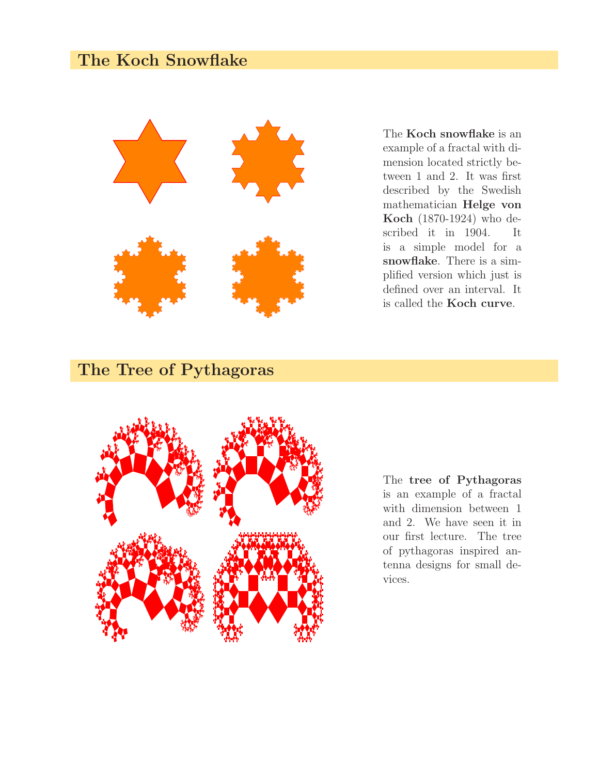## The Koch Snowflake



The Koch snowflake is an example of a fractal with dimension located strictly between 1 and 2. It was first described by the Swedish mathematician Helge von Koch (1870-1924) who described it in 1904. It is a simple model for a snowflake. There is a simplified version which just is defined over an interval. It is called the Koch curve.

### The Tree of Pythagoras



The tree of Pythagoras is an example of a fractal with dimension between 1 and 2. We have seen it in our first lecture. The tree of pythagoras inspired antenna designs for small devices.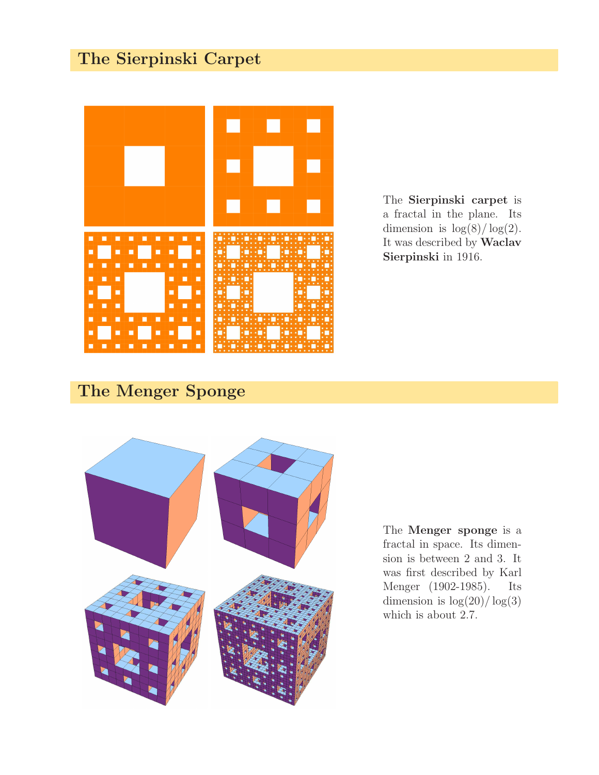# The Sierpinski Carpet



The Sierpinski carpet is a fractal in the plane. Its dimension is  $\log(8)/\log(2)$ . It was described by Waclav Sierpinski in 1916.

# The Menger Sponge



The Menger sponge is a fractal in space. Its dimension is between 2 and 3. It was first described by Karl Menger (1902-1985). Its dimension is  $\log(20)/\log(3)$ which is about 2.7.